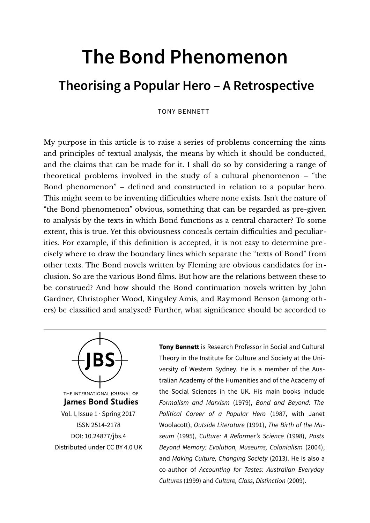# **The Bond Phenomenon**

## **Theorising a Popular Hero – A Retrospective**

#### TONY BENNETT

My purpose in this article is to raise a series of problems concerning the aims and principles of textual analysis, the means by which it should be conducted, and the claims that can be made for it. I shall do so by considering a range of theoretical problems involved in the study of a cultural phenomenon – "the Bond phenomenon" – defined and constructed in relation to a popular hero. This might seem to be inventing difficulties where none exists. Isn't the nature of "the Bond phenomenon" obvious, something that can be regarded as pre-given to analysis by the texts in which Bond functions as a central character? To some extent, this is true. Yet this obviousness conceals certain difficulties and peculiarities. For example, if this definition is accepted, it is not easy to determine precisely where to draw the boundary lines which separate the "texts of Bond" from other texts. The Bond novels written by Fleming are obvious candidates for inclusion. So are the various Bond films. But how are the relations between these to be construed? And how should the Bond continuation novels written by John Gardner, Christopher Wood, Kingsley Amis, and Raymond Benson (among others) be classified and analysed? Further, what significance should be accorded to



THE INTERNATIONAL JOURNAL OF **James Bond Studies** Vol. I, Issue 1 · Spring 2017 ISSN 2514-2178 [DOI: 10.24877/jbs.4](https://doi.org/10.24877/jbs.4) Distributed under [CC BY 4.0 UK](https://creativecommons.org/licenses/by/2.0/uk/) **Tony Bennett** is Research Professor in Social and Cultural Theory in the Institute for Culture and Society at the University of Western Sydney. He is a member of the Australian Academy of the Humanities and of the Academy of the Social Sciences in the UK. His main books include Formalism and Marxism (1979), Bond and Beyond: The Political Career of a Popular Hero (1987, with Janet Woolacott), Outside Literature (1991), The Birth of the Museum (1995), Culture: A Reformer's Science (1998), Pasts Beyond Memory: Evolution, Museums, Colonialism (2004), and Making Culture, Changing Society (2013). He is also a co-author of Accounting for Tastes: Australian Everyday Cultures (1999) and Culture, Class, Distinction (2009).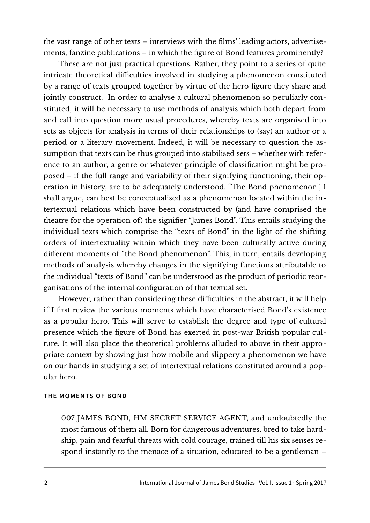the vast range of other texts – interviews with the films' leading actors, advertisements, fanzine publications – in which the figure of Bond features prominently?

These are not just practical questions. Rather, they point to a series of quite intricate theoretical difficulties involved in studying a phenomenon constituted by a range of texts grouped together by virtue of the hero figure they share and jointly construct. In order to analyse a cultural phenomenon so peculiarly constituted, it will be necessary to use methods of analysis which both depart from and call into question more usual procedures, whereby texts are organised into sets as objects for analysis in terms of their relationships to (say) an author or a period or a literary movement. Indeed, it will be necessary to question the assumption that texts can be thus grouped into stabilised sets – whether with reference to an author, a genre or whatever principle of classification might be proposed – if the full range and variability of their signifying functioning, their operation in history, are to be adequately understood. "The Bond phenomenon", I shall argue, can best be conceptualised as a phenomenon located within the intertextual relations which have been constructed by (and have comprised the theatre for the operation of) the signifier "James Bond". This entails studying the individual texts which comprise the "texts of Bond" in the light of the shifting orders of intertextuality within which they have been culturally active during different moments of "the Bond phenomenon". This, in turn, entails developing methods of analysis whereby changes in the signifying functions attributable to the individual "texts of Bond" can be understood as the product of periodic reorganisations of the internal configuration of that textual set.

However, rather than considering these difficulties in the abstract, it will help if I first review the various moments which have characterised Bond's existence as a popular hero. This will serve to establish the degree and type of cultural presence which the figure of Bond has exerted in post-war British popular culture. It will also place the theoretical problems alluded to above in their appropriate context by showing just how mobile and slippery a phenomenon we have on our hands in studying a set of intertextual relations constituted around a popular hero.

#### **THE MOMENTS OF BOND**

007 JAMES BOND, HM SECRET SERVICE AGENT, and undoubtedly the most famous of them all. Born for dangerous adventures, bred to take hardship, pain and fearful threats with cold courage, trained till his six senses respond instantly to the menace of a situation, educated to be a gentleman –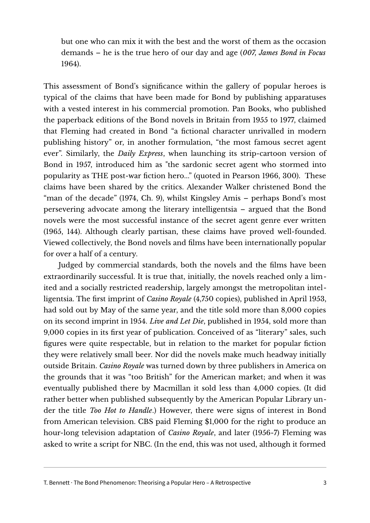but one who can mix it with the best and the worst of them as the occasion demands – he is the true hero of our day and age (*007, James Bond in Focus* 1964).

This assessment of Bond's significance within the gallery of popular heroes is typical of the claims that have been made for Bond by publishing apparatuses with a vested interest in his commercial promotion. Pan Books, who published the paperback editions of the Bond novels in Britain from 1955 to 1977, claimed that Fleming had created in Bond "a fictional character unrivalled in modern publishing history" or, in another formulation, "the most famous secret agent ever". Similarly, the *Daily Express*, when launching its strip-cartoon version of Bond in 1957, introduced him as "the sardonic secret agent who stormed into popularity as THE post-war fiction hero..." (quoted in Pearson 1966, 300). These claims have been shared by the critics. Alexander Walker christened Bond the "man of the decade" (1974, Ch. 9), whilst Kingsley Amis – perhaps Bond's most persevering advocate among the literary intelligentsia – argued that the Bond novels were the most successful instance of the secret agent genre ever written (1965, 144). Although clearly partisan, these claims have proved well-founded. Viewed collectively, the Bond novels and films have been internationally popular for over a half of a century.

Judged by commercial standards, both the novels and the films have been extraordinarily successful. It is true that, initially, the novels reached only a limited and a socially restricted readership, largely amongst the metropolitan intelligentsia. The first imprint of *Casino Royale* (4,750 copies), published in April 1953, had sold out by May of the same year, and the title sold more than 8,000 copies on its second imprint in 1954. *Live and Let Die*, published in 1954, sold more than 9,000 copies in its first year of publication. Conceived of as "literary" sales, such figures were quite respectable, but in relation to the market for popular fiction they were relatively small beer. Nor did the novels make much headway initially outside Britain. *Casino Royale* was turned down by three publishers in America on the grounds that it was "too British" for the American market; and when it was eventually published there by Macmillan it sold less than 4,000 copies. (It did rather better when published subsequently by the American Popular Library under the title *Too Hot to Handle*.) However, there were signs of interest in Bond from American television. CBS paid Fleming \$1,000 for the right to produce an hour-long television adaptation of *Casino Royale*, and later (1956-7) Fleming was asked to write a script for NBC. (In the end, this was not used, although it formed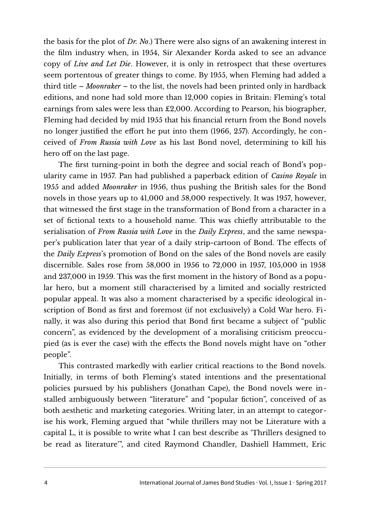the basis for the plot of *Dr. No*.) There were also signs of an awakening interest in the film industry when, in 1954, Sir Alexander Korda asked to see an advance copy of *Live and Let Die*. However, it is only in retrospect that these overtures seem portentous of greater things to come. By 1955, when Fleming had added a third title – *Moonraker* – to the list, the novels had been printed only in hardback editions, and none had sold more than 12,000 copies in Britain: Fleming's total earnings from sales were less than £2,000. According to Pearson, his biographer, Fleming had decided by mid 1955 that his financial return from the Bond novels no longer justified the effort he put into them (1966, 257). Accordingly, he conceived of *From Russia with Love* as his last Bond novel, determining to kill his hero off on the last page.

The first turning-point in both the degree and social reach of Bond's popularity came in 1957. Pan had published a paperback edition of *Casino Royale* in 1955 and added *Moonraker* in 1956, thus pushing the British sales for the Bond novels in those years up to 41,000 and 58,000 respectively. It was 1957, however, that witnessed the first stage in the transformation of Bond from a character in a set of fictional texts to a household name. This was chiefly attributable to the serialisation of *From Russia with Love* in the *Daily Express*, and the same newspaper's publication later that year of a daily strip-cartoon of Bond. The effects of the *Daily Express*'s promotion of Bond on the sales of the Bond novels are easily discernible. Sales rose from 58,000 in 1956 to 72,000 in 1957, 105,000 in 1958 and 237,000 in 1959. This was the first moment in the history of Bond as a popular hero, but a moment still characterised by a limited and socially restricted popular appeal. It was also a moment characterised by a specific ideological inscription of Bond as first and foremost (if not exclusively) a Cold War hero. Finally, it was also during this period that Bond first became a subject of "public concern", as evidenced by the development of a moralising criticism preoccupied (as is ever the case) with the effects the Bond novels might have on "other people".

This contrasted markedly with earlier critical reactions to the Bond novels. Initially, in terms of both Fleming's stated intentions and the presentational policies pursued by his publishers (Jonathan Cape), the Bond novels were installed ambiguously between "literature" and "popular fiction", conceived of as both aesthetic and marketing categories. Writing later, in an attempt to categorise his work, Fleming argued that "while thrillers may not be Literature with a capital L, it is possible to write what I can best describe as 'Thrillers designed to be read as literature'", and cited Raymond Chandler, Dashiell Hammett, Eric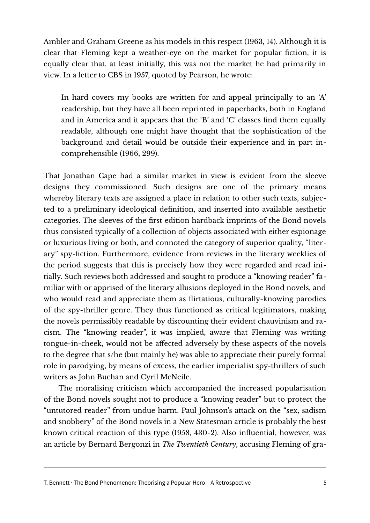Ambler and Graham Greene as his models in this respect (1963, 14). Although it is clear that Fleming kept a weather-eye on the market for popular fiction, it is equally clear that, at least initially, this was not the market he had primarily in view. In a letter to CBS in 1957, quoted by Pearson, he wrote:

In hard covers my books are written for and appeal principally to an 'A' readership, but they have all been reprinted in paperbacks, both in England and in America and it appears that the 'B' and 'C' classes find them equally readable, although one might have thought that the sophistication of the background and detail would be outside their experience and in part incomprehensible (1966, 299).

That Jonathan Cape had a similar market in view is evident from the sleeve designs they commissioned. Such designs are one of the primary means whereby literary texts are assigned a place in relation to other such texts, subjected to a preliminary ideological definition, and inserted into available aesthetic categories. The sleeves of the first edition hardback imprints of the Bond novels thus consisted typically of a collection of objects associated with either espionage or luxurious living or both, and connoted the category of superior quality, "literary" spy-fiction. Furthermore, evidence from reviews in the literary weeklies of the period suggests that this is precisely how they were regarded and read initially. Such reviews both addressed and sought to produce a "knowing reader" familiar with or apprised of the literary allusions deployed in the Bond novels, and who would read and appreciate them as flirtatious, culturally-knowing parodies of the spy-thriller genre. They thus functioned as critical legitimators, making the novels permissibly readable by discounting their evident chauvinism and racism. The "knowing reader", it was implied, aware that Fleming was writing tongue-in-cheek, would not be affected adversely by these aspects of the novels to the degree that s/he (but mainly he) was able to appreciate their purely formal role in parodying, by means of excess, the earlier imperialist spy-thrillers of such writers as John Buchan and Cyril McNeile.

The moralising criticism which accompanied the increased popularisation of the Bond novels sought not to produce a "knowing reader" but to protect the "untutored reader" from undue harm. Paul Johnson's attack on the "sex, sadism and snobbery" of the Bond novels in a New Statesman article is probably the best known critical reaction of this type (1958, 430-2). Also influential, however, was an article by Bernard Bergonzi in *The Twentieth Century*, accusing Fleming of gra-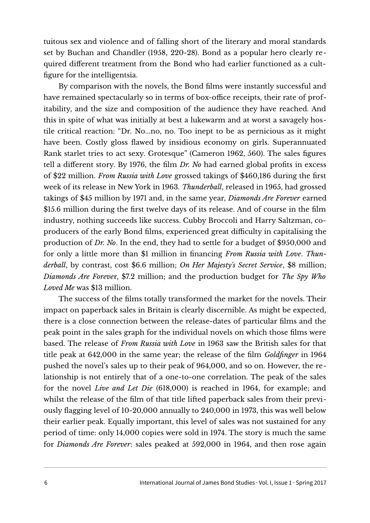tuitous sex and violence and of falling short of the literary and moral standards set by Buchan and Chandler (1958, 220-28). Bond as a popular hero clearly required different treatment from the Bond who had earlier functioned as a cultfigure for the intelligentsia.

By comparison with the novels, the Bond films were instantly successful and have remained spectacularly so in terms of box-office receipts, their rate of profitability, and the size and composition of the audience they have reached. And this in spite of what was initially at best a lukewarm and at worst a savagely hostile critical reaction: "Dr. No...no, no. Too inept to be as pernicious as it might have been. Costly gloss flawed by insidious economy on girls. Superannuated Rank starlet tries to act sexy. Grotesque" (Cameron 1962, 560). The sales figures tell a different story. By 1976, the film *Dr. No* had earned global profits in excess of \$22 million. *From Russia with Love* grossed takings of \$460,186 during the first week of its release in New York in 1963. *Thunderball*, released in 1965, had grossed takings of \$45 million by 1971 and, in the same year, *Diamonds Are Forever* earned \$15.6 million during the first twelve days of its release. And of course in the film industry, nothing succeeds like success. Cubby Broccoli and Harry Saltzman, coproducers of the early Bond films, experienced great difficulty in capitalising the production of *Dr. No*. In the end, they had to settle for a budget of \$950,000 and for only a little more than \$1 million in financing *From Russia with Love*. *Thunderball*, by contrast, cost \$6.6 million; *On Her Majesty's Secret Service*, \$8 million; *Diamonds Are Foreve*r, \$7.2 million; and the production budget for *The Spy Who Loved Me* was \$13 million.

The success of the films totally transformed the market for the novels. Their impact on paperback sales in Britain is clearly discernible. As might be expected, there is a close connection between the release-dates of particular films and the peak point in the sales graph for the individual novels on which those films were based. The release of *From Russia with Love* in 1963 saw the British sales for that title peak at 642,000 in the same year; the release of the film *Goldfinger* in 1964 pushed the novel's sales up to their peak of 964,000, and so on. However, the relationship is not entirely that of a one-to-one correlation. The peak of the sales for the novel *Live and Let Die* (618,000) is reached in 1964, for example; and whilst the release of the film of that title lifted paperback sales from their previously flagging level of 10-20,000 annually to 240,000 in 1973, this was well below their earlier peak. Equally important, this level of sales was not sustained for any period of time: only 14,000 copies were sold in 1974. The story is much the same for *Diamonds Are Forever*: sales peaked at 592,000 in 1964, and then rose again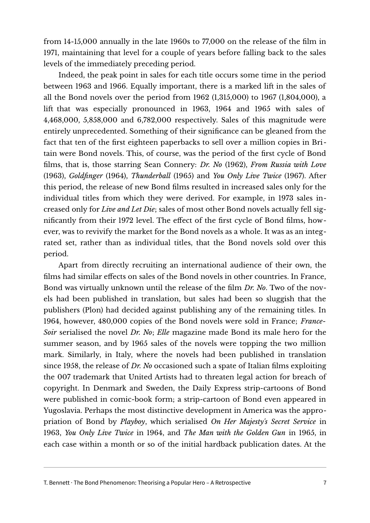from 14-15,000 annually in the late 1960s to 77,000 on the release of the film in 1971, maintaining that level for a couple of years before falling back to the sales levels of the immediately preceding period.

Indeed, the peak point in sales for each title occurs some time in the period between 1963 and 1966. Equally important, there is a marked lift in the sales of all the Bond novels over the period from 1962 (1,315,000) to 1967 (1,804,000), a lift that was especially pronounced in 1963, 1964 and 1965 with sales of 4,468,000, 5,858,000 and 6,782,000 respectively. Sales of this magnitude were entirely unprecedented. Something of their significance can be gleaned from the fact that ten of the first eighteen paperbacks to sell over a million copies in Britain were Bond novels. This, of course, was the period of the first cycle of Bond films, that is, those starring Sean Connery: *Dr. No* (1962), *From Russia with Love* (1963), *Goldfinger* (1964), *Thunderball* (1965) and *You Only Live Twice* (1967). After this period, the release of new Bond films resulted in increased sales only for the individual titles from which they were derived. For example, in 1973 sales increased only for *Live and Let Die*; sales of most other Bond novels actually fell significantly from their 1972 level. The effect of the first cycle of Bond films, however, was to revivify the market for the Bond novels as a whole. It was as an integrated set, rather than as individual titles, that the Bond novels sold over this period.

Apart from directly recruiting an international audience of their own, the films had similar effects on sales of the Bond novels in other countries. In France, Bond was virtually unknown until the release of the film *Dr. No*. Two of the novels had been published in translation, but sales had been so sluggish that the publishers (Plon) had decided against publishing any of the remaining titles. In 1964, however, 480,000 copies of the Bond novels were sold in France; *France-Soir* serialised the novel *Dr. No*; *Elle* magazine made Bond its male hero for the summer season, and by 1965 sales of the novels were topping the two million mark. Similarly, in Italy, where the novels had been published in translation since 1958, the release of *Dr. No* occasioned such a spate of Italian films exploiting the 007 trademark that United Artists had to threaten legal action for breach of copyright. In Denmark and Sweden, the Daily Express strip-cartoons of Bond were published in comic-book form; a strip-cartoon of Bond even appeared in Yugoslavia. Perhaps the most distinctive development in America was the appropriation of Bond by *Playboy*, which serialised *On Her Majesty's Secret Service* in 1963, *You Only Live Twice* in 1964, and *The Man with the Golden Gun* in 1965, in each case within a month or so of the initial hardback publication dates. At the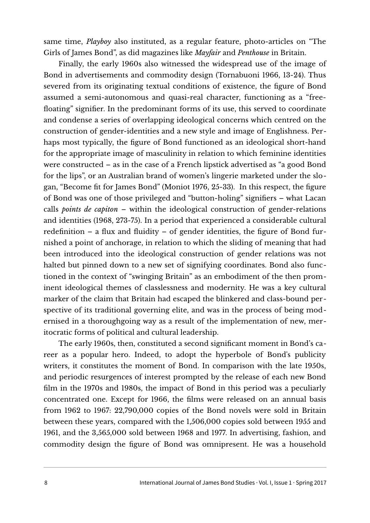same time, *Playboy* also instituted, as a regular feature, photo-articles on "The Girls of James Bond", as did magazines like *Mayfair* and *Penthouse* in Britain.

Finally, the early 1960s also witnessed the widespread use of the image of Bond in advertisements and commodity design (Tornabuoni 1966, 13-24). Thus severed from its originating textual conditions of existence, the figure of Bond assumed a semi-autonomous and quasi-real character, functioning as a "freefloating" signifier. In the predominant forms of its use, this served to coordinate and condense a series of overlapping ideological concerns which centred on the construction of gender-identities and a new style and image of Englishness. Perhaps most typically, the figure of Bond functioned as an ideological short-hand for the appropriate image of masculinity in relation to which feminine identities were constructed – as in the case of a French lipstick advertised as "a good Bond for the lips", or an Australian brand of women's lingerie marketed under the slogan, "Become fit for James Bond" (Moniot 1976, 25-33). In this respect, the figure of Bond was one of those privileged and "button-holing" signifiers – what Lacan calls *points de capiton* – within the ideological construction of gender-relations and identities (1968, 273-75). In a period that experienced a considerable cultural redefinition – a flux and fluidity – of gender identities, the figure of Bond furnished a point of anchorage, in relation to which the sliding of meaning that had been introduced into the ideological construction of gender relations was not halted but pinned down to a new set of signifying coordinates. Bond also functioned in the context of "swinging Britain" as an embodiment of the then prominent ideological themes of classlessness and modernity. He was a key cultural marker of the claim that Britain had escaped the blinkered and class-bound perspective of its traditional governing elite, and was in the process of being modernised in a thoroughgoing way as a result of the implementation of new, meritocratic forms of political and cultural leadership.

The early 1960s, then, constituted a second significant moment in Bond's career as a popular hero. Indeed, to adopt the hyperbole of Bond's publicity writers, it constitutes the moment of Bond. In comparison with the late 1950s, and periodic resurgences of interest prompted by the release of each new Bond film in the 1970s and 1980s, the impact of Bond in this period was a peculiarly concentrated one. Except for 1966, the films were released on an annual basis from 1962 to 1967: 22,790,000 copies of the Bond novels were sold in Britain between these years, compared with the 1,506,000 copies sold between 1955 and 1961, and the 3,565,000 sold between 1968 and 1977. In advertising, fashion, and commodity design the figure of Bond was omnipresent. He was a household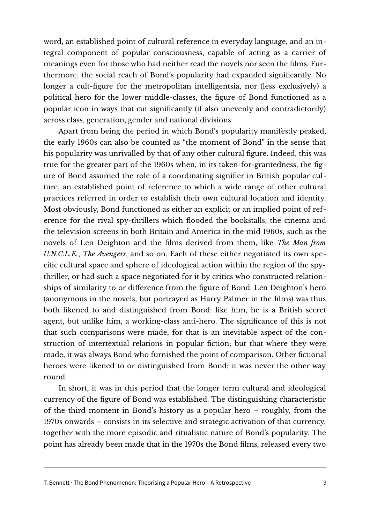word, an established point of cultural reference in everyday language, and an integral component of popular consciousness, capable of acting as a carrier of meanings even for those who had neither read the novels nor seen the films. Furthermore, the social reach of Bond's popularity had expanded significantly. No longer a cult-figure for the metropolitan intelligentsia, nor (less exclusively) a political hero for the lower middle-classes, the figure of Bond functioned as a popular icon in ways that cut significantly (if also unevenly and contradictorily) across class, generation, gender and national divisions.

Apart from being the period in which Bond's popularity manifestly peaked, the early 1960s can also be counted as "the moment of Bond" in the sense that his popularity was unrivalled by that of any other cultural figure. Indeed, this was true for the greater part of the 1960s when, in its taken-for-grantedness, the figure of Bond assumed the role of a coordinating signifier in British popular culture, an established point of reference to which a wide range of other cultural practices referred in order to establish their own cultural location and identity. Most obviously, Bond functioned as either an explicit or an implied point of reference for the rival spy-thrillers which flooded the bookstalls, the cinema and the television screens in both Britain and America in the mid 1960s, such as the novels of Len Deighton and the films derived from them, like *The Man from U.N.C.L.E.*, *The Avengers*, and so on. Each of these either negotiated its own specific cultural space and sphere of ideological action within the region of the spythriller, or had such a space negotiated for it by critics who constructed relationships of similarity to or difference from the figure of Bond. Len Deighton's hero (anonymous in the novels, but portrayed as Harry Palmer in the films) was thus both likened to and distinguished from Bond: like him, he is a British secret agent, but unlike him, a working-class anti-hero. The significance of this is not that such comparisons were made, for that is an inevitable aspect of the construction of intertextual relations in popular fiction; but that where they were made, it was always Bond who furnished the point of comparison. Other fictional heroes were likened to or distinguished from Bond; it was never the other way round.

In short, it was in this period that the longer term cultural and ideological currency of the figure of Bond was established. The distinguishing characteristic of the third moment in Bond's history as a popular hero – roughly, from the 1970s onwards – consists in its selective and strategic activation of that currency, together with the more episodic and ritualistic nature of Bond's popularity. The point has already been made that in the 1970s the Bond films, released every two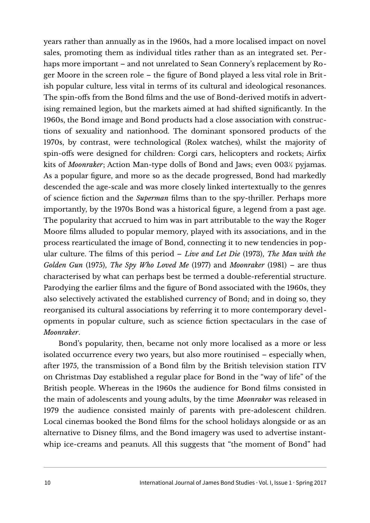years rather than annually as in the 1960s, had a more localised impact on novel sales, promoting them as individual titles rather than as an integrated set. Perhaps more important – and not unrelated to Sean Connery's replacement by Roger Moore in the screen role – the figure of Bond played a less vital role in British popular culture, less vital in terms of its cultural and ideological resonances. The spin-offs from the Bond films and the use of Bond-derived motifs in advertising remained legion, but the markets aimed at had shifted significantly. In the 1960s, the Bond image and Bond products had a close association with constructions of sexuality and nationhood. The dominant sponsored products of the 1970s, by contrast, were technological (Rolex watches), whilst the majority of spin-offs were designed for children: Corgi cars, helicopters and rockets; Airfix kits of *Moonraker*; Action Man-type dolls of Bond and Jaws; even 003½ pyjamas. As a popular figure, and more so as the decade progressed, Bond had markedly descended the age-scale and was more closely linked intertextually to the genres of science fiction and the *Superman* films than to the spy-thriller. Perhaps more importantly, by the 1970s Bond was a historical figure, a legend from a past age. The popularity that accrued to him was in part attributable to the way the Roger Moore films alluded to popular memory, played with its associations, and in the process rearticulated the image of Bond, connecting it to new tendencies in popular culture. The films of this period – *Live and Let Die* (1973), *The Man with the Golden Gun* (1975), *The Spy Who Loved Me* (1977) and *Moonraker* (1981) – are thus characterised by what can perhaps best be termed a double-referential structure. Parodying the earlier films and the figure of Bond associated with the 1960s, they also selectively activated the established currency of Bond; and in doing so, they reorganised its cultural associations by referring it to more contemporary developments in popular culture, such as science fiction spectaculars in the case of *Moonraker*.

Bond's popularity, then, became not only more localised as a more or less isolated occurrence every two years, but also more routinised – especially when, after 1975, the transmission of a Bond film by the British television station ITV on Christmas Day established a regular place for Bond in the "way of life" of the British people. Whereas in the 1960s the audience for Bond films consisted in the main of adolescents and young adults, by the time *Moonraker* was released in 1979 the audience consisted mainly of parents with pre-adolescent children. Local cinemas booked the Bond films for the school holidays alongside or as an alternative to Disney films, and the Bond imagery was used to advertise instantwhip ice-creams and peanuts. All this suggests that "the moment of Bond" had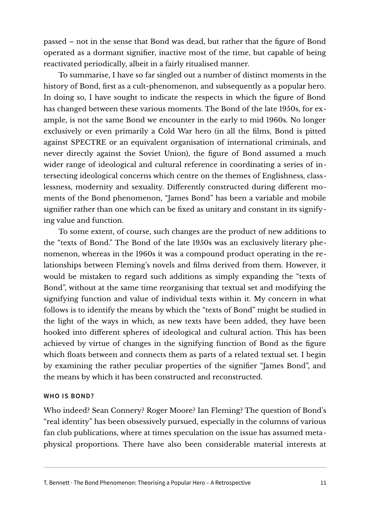passed – not in the sense that Bond was dead, but rather that the figure of Bond operated as a dormant signifier, inactive most of the time, but capable of being reactivated periodically, albeit in a fairly ritualised manner.

To summarise, I have so far singled out a number of distinct moments in the history of Bond, first as a cult-phenomenon, and subsequently as a popular hero. In doing so, I have sought to indicate the respects in which the figure of Bond has changed between these various moments. The Bond of the late 1950s, for example, is not the same Bond we encounter in the early to mid 1960s. No longer exclusively or even primarily a Cold War hero (in all the films, Bond is pitted against SPECTRE or an equivalent organisation of international criminals, and never directly against the Soviet Union), the figure of Bond assumed a much wider range of ideological and cultural reference in coordinating a series of intersecting ideological concerns which centre on the themes of Englishness, classlessness, modernity and sexuality. Differently constructed during different moments of the Bond phenomenon, "James Bond" has been a variable and mobile signifier rather than one which can be fixed as unitary and constant in its signifying value and function.

To some extent, of course, such changes are the product of new additions to the "texts of Bond." The Bond of the late 1950s was an exclusively literary phenomenon, whereas in the 1960s it was a compound product operating in the relationships between Fleming's novels and films derived from them. However, it would be mistaken to regard such additions as simply expanding the "texts of Bond", without at the same time reorganising that textual set and modifying the signifying function and value of individual texts within it. My concern in what follows is to identify the means by which the "texts of Bond" might be studied in the light of the ways in which, as new texts have been added, they have been hooked into different spheres of ideological and cultural action. This has been achieved by virtue of changes in the signifying function of Bond as the figure which floats between and connects them as parts of a related textual set. I begin by examining the rather peculiar properties of the signifier "James Bond", and the means by which it has been constructed and reconstructed.

#### **WHO IS BOND?**

Who indeed? Sean Connery? Roger Moore? Ian Fleming? The question of Bond's "real identity" has been obsessively pursued, especially in the columns of various fan club publications, where at times speculation on the issue has assumed metaphysical proportions. There have also been considerable material interests at

T. Bennett · The Bond Phenomenon: Theorising a Popular Hero - A Retrospective 11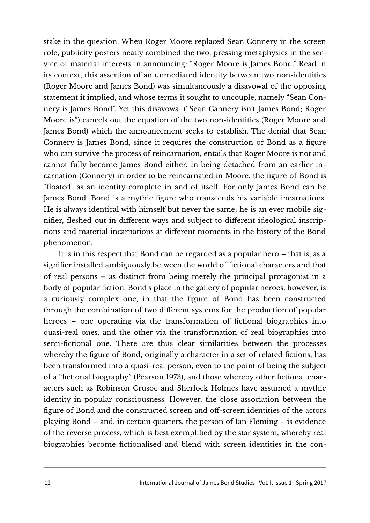stake in the question. When Roger Moore replaced Sean Connery in the screen role, publicity posters neatly combined the two, pressing metaphysics in the service of material interests in announcing: "Roger Moore is James Bond." Read in its context, this assertion of an unmediated identity between two non-identities (Roger Moore and James Bond) was simultaneously a disavowal of the opposing statement it implied, and whose terms it sought to uncouple, namely "Sean Connery is James Bond". Yet this disavowal ("Sean Cannery isn't James Bond; Roger Moore is") cancels out the equation of the two non-identities (Roger Moore and James Bond) which the announcement seeks to establish. The denial that Sean Connery is James Bond, since it requires the construction of Bond as a figure who can survive the process of reincarnation, entails that Roger Moore is not and cannot fully become James Bond either. In being detached from an earlier incarnation (Connery) in order to be reincarnated in Moore, the figure of Bond is "floated" as an identity complete in and of itself. For only James Bond can be James Bond. Bond is a mythic figure who transcends his variable incarnations. He is always identical with himself but never the same; he is an ever mobile signifier, fleshed out in different ways and subject to different ideological inscriptions and material incarnations at different moments in the history of the Bond phenomenon.

It is in this respect that Bond can be regarded as a popular hero – that is, as a signifier installed ambiguously between the world of fictional characters and that of real persons – as distinct from being merely the principal protagonist in a body of popular fiction. Bond's place in the gallery of popular heroes, however, is a curiously complex one, in that the figure of Bond has been constructed through the combination of two different systems for the production of popular heroes – one operating via the transformation of fictional biographies into quasi-real ones, and the other via the transformation of real biographies into semi-fictional one. There are thus clear similarities between the processes whereby the figure of Bond, originally a character in a set of related fictions, has been transformed into a quasi-real person, even to the point of being the subject of a "fictional biography" (Pearson 1973), and those whereby other fictional characters such as Robinson Crusoe and Sherlock Holmes have assumed a mythic identity in popular consciousness. However, the close association between the figure of Bond and the constructed screen and off-screen identities of the actors playing Bond – and, in certain quarters, the person of Ian Fleming – is evidence of the reverse process, which is best exemplified by the star system, whereby real biographies become fictionalised and blend with screen identities in the con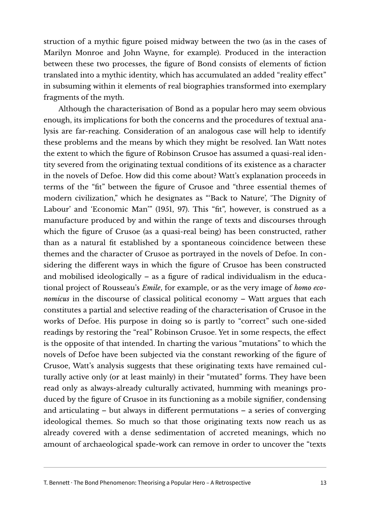struction of a mythic figure poised midway between the two (as in the cases of Marilyn Monroe and John Wayne, for example). Produced in the interaction between these two processes, the figure of Bond consists of elements of fiction translated into a mythic identity, which has accumulated an added "reality effect" in subsuming within it elements of real biographies transformed into exemplary fragments of the myth.

Although the characterisation of Bond as a popular hero may seem obvious enough, its implications for both the concerns and the procedures of textual analysis are far-reaching. Consideration of an analogous case will help to identify these problems and the means by which they might be resolved. Ian Watt notes the extent to which the figure of Robinson Crusoe has assumed a quasi-real identity severed from the originating textual conditions of its existence as a character in the novels of Defoe. How did this come about? Watt's explanation proceeds in terms of the "fit" between the figure of Crusoe and "three essential themes of modern civilization," which he designates as "'Back to Nature', 'The Dignity of Labour' and 'Economic Man'" (1951, 97). This "fit", however, is construed as a manufacture produced by and within the range of texts and discourses through which the figure of Crusoe (as a quasi-real being) has been constructed, rather than as a natural fit established by a spontaneous coincidence between these themes and the character of Crusoe as portrayed in the novels of Defoe. In considering the different ways in which the figure of Crusoe has been constructed and mobilised ideologically – as a figure of radical individualism in the educational project of Rousseau's *Emile*, for example, or as the very image of *homo economicus* in the discourse of classical political economy – Watt argues that each constitutes a partial and selective reading of the characterisation of Crusoe in the works of Defoe. His purpose in doing so is partly to "correct" such one-sided readings by restoring the "real" Robinson Crusoe. Yet in some respects, the effect is the opposite of that intended. In charting the various "mutations" to which the novels of Defoe have been subjected via the constant reworking of the figure of Crusoe, Watt's analysis suggests that these originating texts have remained culturally active only (or at least mainly) in their "mutated" forms. They have been read only as always-already culturally activated, humming with meanings produced by the figure of Crusoe in its functioning as a mobile signifier, condensing and articulating – but always in different permutations – a series of converging ideological themes. So much so that those originating texts now reach us as already covered with a dense sedimentation of accreted meanings, which no amount of archaeological spade-work can remove in order to uncover the "texts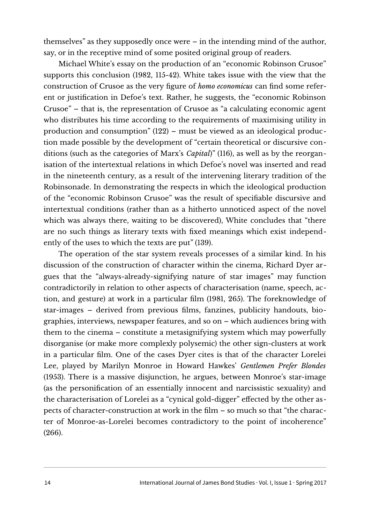themselves" as they supposedly once were – in the intending mind of the author, say, or in the receptive mind of some posited original group of readers.

Michael White's essay on the production of an "economic Robinson Crusoe" supports this conclusion (1982, 115-42). White takes issue with the view that the construction of Crusoe as the very figure of *homo economicus* can find some referent or justification in Defoe's text. Rather, he suggests, the "economic Robinson Crusoe" – that is, the representation of Crusoe as "a calculating economic agent who distributes his time according to the requirements of maximising utility in production and consumption" (122) – must be viewed as an ideological production made possible by the development of "certain theoretical or discursive conditions (such as the categories of Marx's *Capital*)" (116), as well as by the reorganisation of the intertextual relations in which Defoe's novel was inserted and read in the nineteenth century, as a result of the intervening literary tradition of the Robinsonade. In demonstrating the respects in which the ideological production of the "economic Robinson Crusoe" was the result of specifiable discursive and intertextual conditions (rather than as a hitherto unnoticed aspect of the novel which was always there, waiting to be discovered), White concludes that "there are no such things as literary texts with fixed meanings which exist independently of the uses to which the texts are put" (139).

The operation of the star system reveals processes of a similar kind. In his discussion of the construction of character within the cinema, Richard Dyer argues that the "always-already-signifying nature of star images" may function contradictorily in relation to other aspects of characterisation (name, speech, action, and gesture) at work in a particular film (1981, 265). The foreknowledge of star-images – derived from previous films, fanzines, publicity handouts, biographies, interviews, newspaper features, and so on – which audiences bring with them to the cinema – constitute a metasignifying system which may powerfully disorganise (or make more complexly polysemic) the other sign-clusters at work in a particular film. One of the cases Dyer cites is that of the character Lorelei Lee, played by Marilyn Monroe in Howard Hawkes' *Gentlemen Prefer Blondes* (1953). There is a massive disjunction, he argues, between Monroe's star-image (as the personification of an essentially innocent and narcissistic sexuality) and the characterisation of Lorelei as a "cynical gold-digger" effected by the other aspects of character-construction at work in the film – so much so that "the character of Monroe-as-Lorelei becomes contradictory to the point of incoherence" (266).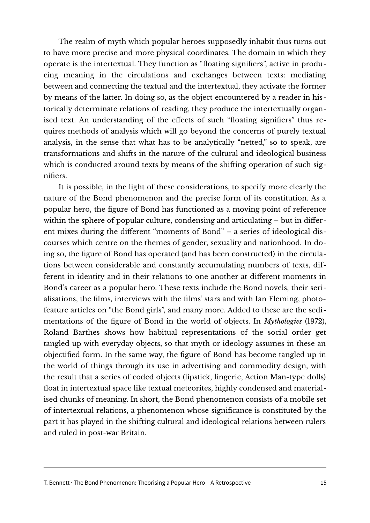The realm of myth which popular heroes supposedly inhabit thus turns out to have more precise and more physical coordinates. The domain in which they operate is the intertextual. They function as "floating signifiers", active in producing meaning in the circulations and exchanges between texts: mediating between and connecting the textual and the intertextual, they activate the former by means of the latter. In doing so, as the object encountered by a reader in historically determinate relations of reading, they produce the intertextually organised text. An understanding of the effects of such "floating signifiers" thus requires methods of analysis which will go beyond the concerns of purely textual analysis, in the sense that what has to be analytically "netted," so to speak, are transformations and shifts in the nature of the cultural and ideological business which is conducted around texts by means of the shifting operation of such signifiers.

It is possible, in the light of these considerations, to specify more clearly the nature of the Bond phenomenon and the precise form of its constitution. As a popular hero, the figure of Bond has functioned as a moving point of reference within the sphere of popular culture, condensing and articulating – but in different mixes during the different "moments of Bond" – a series of ideological discourses which centre on the themes of gender, sexuality and nationhood. In doing so, the figure of Bond has operated (and has been constructed) in the circulations between considerable and constantly accumulating numbers of texts, different in identity and in their relations to one another at different moments in Bond's career as a popular hero. These texts include the Bond novels, their serialisations, the films, interviews with the films' stars and with Ian Fleming, photofeature articles on "the Bond girls", and many more. Added to these are the sedimentations of the figure of Bond in the world of objects. In *Mythologies* (1972), Roland Barthes shows how habitual representations of the social order get tangled up with everyday objects, so that myth or ideology assumes in these an objectified form. In the same way, the figure of Bond has become tangled up in the world of things through its use in advertising and commodity design, with the result that a series of coded objects (lipstick, lingerie, Action Man-type dolls) float in intertextual space like textual meteorites, highly condensed and materialised chunks of meaning. In short, the Bond phenomenon consists of a mobile set of intertextual relations, a phenomenon whose significance is constituted by the part it has played in the shifting cultural and ideological relations between rulers and ruled in post-war Britain.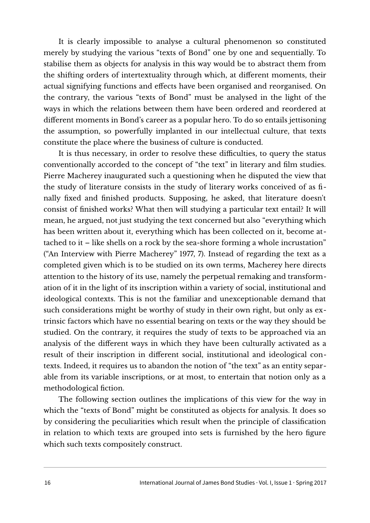It is clearly impossible to analyse a cultural phenomenon so constituted merely by studying the various "texts of Bond" one by one and sequentially. To stabilise them as objects for analysis in this way would be to abstract them from the shifting orders of intertextuality through which, at different moments, their actual signifying functions and effects have been organised and reorganised. On the contrary, the various "texts of Bond" must be analysed in the light of the ways in which the relations between them have been ordered and reordered at different moments in Bond's career as a popular hero. To do so entails jettisoning the assumption, so powerfully implanted in our intellectual culture, that texts constitute the place where the business of culture is conducted.

It is thus necessary, in order to resolve these difficulties, to query the status conventionally accorded to the concept of "the text" in literary and film studies. Pierre Macherey inaugurated such a questioning when he disputed the view that the study of literature consists in the study of literary works conceived of as finally fixed and finished products. Supposing, he asked, that literature doesn't consist of finished works? What then will studying a particular text entail? It will mean, he argued, not just studying the text concerned but also "everything which has been written about it, everything which has been collected on it, become attached to it – like shells on a rock by the sea-shore forming a whole incrustation" ("An Interview with Pierre Macherey" 1977, 7). Instead of regarding the text as a completed given which is to be studied on its own terms, Macherey here directs attention to the history of its use, namely the perpetual remaking and transformation of it in the light of its inscription within a variety of social, institutional and ideological contexts. This is not the familiar and unexceptionable demand that such considerations might be worthy of study in their own right, but only as extrinsic factors which have no essential bearing on texts or the way they should be studied. On the contrary, it requires the study of texts to be approached via an analysis of the different ways in which they have been culturally activated as a result of their inscription in different social, institutional and ideological contexts. Indeed, it requires us to abandon the notion of "the text" as an entity separable from its variable inscriptions, or at most, to entertain that notion only as a methodological fiction.

The following section outlines the implications of this view for the way in which the "texts of Bond" might be constituted as objects for analysis. It does so by considering the peculiarities which result when the principle of classification in relation to which texts are grouped into sets is furnished by the hero figure which such texts compositely construct.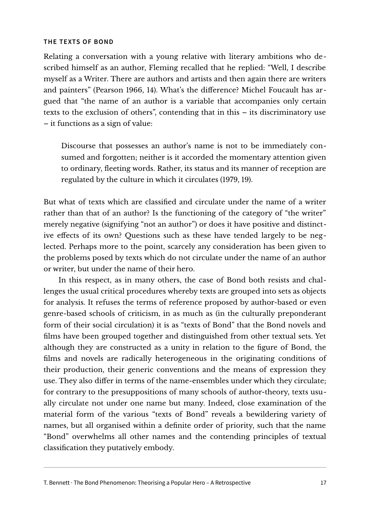#### **THE TEXTS OF BOND**

Relating a conversation with a young relative with literary ambitions who described himself as an author, Fleming recalled that he replied: "Well, I describe myself as a Writer. There are authors and artists and then again there are writers and painters" (Pearson 1966, 14). What's the difference? Michel Foucault has argued that "the name of an author is a variable that accompanies only certain texts to the exclusion of others", contending that in this – its discriminatory use – it functions as a sign of value:

Discourse that possesses an author's name is not to be immediately consumed and forgotten; neither is it accorded the momentary attention given to ordinary, fleeting words. Rather, its status and its manner of reception are regulated by the culture in which it circulates (1979, 19).

But what of texts which are classified and circulate under the name of a writer rather than that of an author? Is the functioning of the category of "the writer" merely negative (signifying "not an author") or does it have positive and distinctive effects of its own? Questions such as these have tended largely to be neglected. Perhaps more to the point, scarcely any consideration has been given to the problems posed by texts which do not circulate under the name of an author or writer, but under the name of their hero.

In this respect, as in many others, the case of Bond both resists and challenges the usual critical procedures whereby texts are grouped into sets as objects for analysis. It refuses the terms of reference proposed by author-based or even genre-based schools of criticism, in as much as (in the culturally preponderant form of their social circulation) it is as "texts of Bond" that the Bond novels and films have been grouped together and distinguished from other textual sets. Yet although they are constructed as a unity in relation to the figure of Bond, the films and novels are radically heterogeneous in the originating conditions of their production, their generic conventions and the means of expression they use. They also differ in terms of the name-ensembles under which they circulate; for contrary to the presuppositions of many schools of author-theory, texts usually circulate not under one name but many. Indeed, close examination of the material form of the various "texts of Bond" reveals a bewildering variety of names, but all organised within a definite order of priority, such that the name "Bond" overwhelms all other names and the contending principles of textual classification they putatively embody.

T. Bennett · The Bond Phenomenon: Theorising a Popular Hero - A Retrospective 17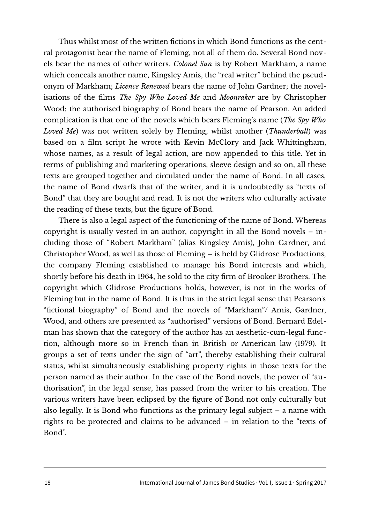Thus whilst most of the written fictions in which Bond functions as the central protagonist bear the name of Fleming, not all of them do. Several Bond novels bear the names of other writers. *Colonel Sun* is by Robert Markham, a name which conceals another name, Kingsley Amis, the "real writer" behind the pseudonym of Markham; *Licence Renewed* bears the name of John Gardner; the novelisations of the films *The Spy Who Loved Me* and *Moonraker* are by Christopher Wood; the authorised biography of Bond bears the name of Pearson. An added complication is that one of the novels which bears Fleming's name (*The Spy Who Loved Me*) was not written solely by Fleming, whilst another (*Thunderball*) was based on a film script he wrote with Kevin McClory and Jack Whittingham, whose names, as a result of legal action, are now appended to this title. Yet in terms of publishing and marketing operations, sleeve design and so on, all these texts are grouped together and circulated under the name of Bond. In all cases, the name of Bond dwarfs that of the writer, and it is undoubtedly as "texts of Bond" that they are bought and read. It is not the writers who culturally activate the reading of these texts, but the figure of Bond.

There is also a legal aspect of the functioning of the name of Bond. Whereas copyright is usually vested in an author, copyright in all the Bond novels – including those of "Robert Markham" (alias Kingsley Amis), John Gardner, and Christopher Wood, as well as those of Fleming – is held by Glidrose Productions, the company Fleming established to manage his Bond interests and which, shortly before his death in 1964, he sold to the city firm of Brooker Brothers. The copyright which Glidrose Productions holds, however, is not in the works of Fleming but in the name of Bond. It is thus in the strict legal sense that Pearson's "fictional biography" of Bond and the novels of "Markham"/ Amis, Gardner, Wood, and others are presented as "authorised" versions of Bond. Bernard Edelman has shown that the category of the author has an aesthetic-cum-legal function, although more so in French than in British or American law (1979). It groups a set of texts under the sign of "art", thereby establishing their cultural status, whilst simultaneously establishing property rights in those texts for the person named as their author. In the case of the Bond novels, the power of "authorisation", in the legal sense, has passed from the writer to his creation. The various writers have been eclipsed by the figure of Bond not only culturally but also legally. It is Bond who functions as the primary legal subject – a name with rights to be protected and claims to be advanced – in relation to the "texts of Bond".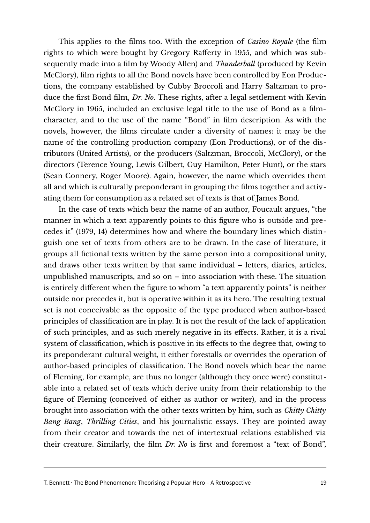This applies to the films too. With the exception of *Casino Royale* (the film rights to which were bought by Gregory Rafferty in 1955, and which was subsequently made into a film by Woody Allen) and *Thunderball* (produced by Kevin McClory), film rights to all the Bond novels have been controlled by Eon Productions, the company established by Cubby Broccoli and Harry Saltzman to produce the first Bond film, *Dr. No*. These rights, after a legal settlement with Kevin McClory in 1965, included an exclusive legal title to the use of Bond as a filmcharacter, and to the use of the name "Bond" in film description. As with the novels, however, the films circulate under a diversity of names: it may be the name of the controlling production company (Eon Productions), or of the distributors (United Artists), or the producers (Saltzman, Broccoli, McClory), or the directors (Terence Young, Lewis Gilbert, Guy Hamilton, Peter Hunt), or the stars (Sean Connery, Roger Moore). Again, however, the name which overrides them all and which is culturally preponderant in grouping the films together and activating them for consumption as a related set of texts is that of James Bond.

In the case of texts which bear the name of an author, Foucault argues, "the manner in which a text apparently points to this figure who is outside and precedes it" (1979, 14) determines how and where the boundary lines which distinguish one set of texts from others are to be drawn. In the case of literature, it groups all fictional texts written by the same person into a compositional unity, and draws other texts written by that same individual – letters, diaries, articles, unpublished manuscripts, and so on – into association with these. The situation is entirely different when the figure to whom "a text apparently points" is neither outside nor precedes it, but is operative within it as its hero. The resulting textual set is not conceivable as the opposite of the type produced when author-based principles of classification are in play. It is not the result of the lack of application of such principles, and as such merely negative in its effects. Rather, it is a rival system of classification, which is positive in its effects to the degree that, owing to its preponderant cultural weight, it either forestalls or overrides the operation of author-based principles of classification. The Bond novels which bear the name of Fleming, for example, are thus no longer (although they once were) constitutable into a related set of texts which derive unity from their relationship to the figure of Fleming (conceived of either as author or writer), and in the process brought into association with the other texts written by him, such as *Chitty Chitty Bang Bang*, *Thrilling Cities*, and his journalistic essays. They are pointed away from their creator and towards the net of intertextual relations established via their creature. Similarly, the film *Dr. No* is first and foremost a "text of Bond",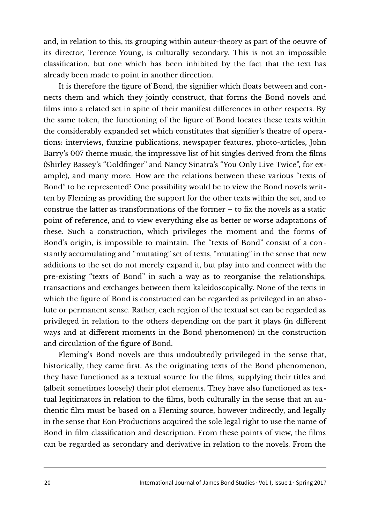and, in relation to this, its grouping within auteur-theory as part of the oeuvre of its director, Terence Young, is culturally secondary. This is not an impossible classification, but one which has been inhibited by the fact that the text has already been made to point in another direction.

It is therefore the figure of Bond, the signifier which floats between and connects them and which they jointly construct, that forms the Bond novels and films into a related set in spite of their manifest differences in other respects. By the same token, the functioning of the figure of Bond locates these texts within the considerably expanded set which constitutes that signifier's theatre of operations: interviews, fanzine publications, newspaper features, photo-articles, John Barry's 007 theme music, the impressive list of hit singles derived from the films (Shirley Bassey's "Goldfinger" and Nancy Sinatra's "You Only Live Twice", for example), and many more. How are the relations between these various "texts of Bond" to be represented? One possibility would be to view the Bond novels written by Fleming as providing the support for the other texts within the set, and to construe the latter as transformations of the former – to fix the novels as a static point of reference, and to view everything else as better or worse adaptations of these. Such a construction, which privileges the moment and the forms of Bond's origin, is impossible to maintain. The "texts of Bond" consist of a constantly accumulating and "mutating" set of texts, "mutating" in the sense that new additions to the set do not merely expand it, but play into and connect with the pre-existing "texts of Bond" in such a way as to reorganise the relationships, transactions and exchanges between them kaleidoscopically. None of the texts in which the figure of Bond is constructed can be regarded as privileged in an absolute or permanent sense. Rather, each region of the textual set can be regarded as privileged in relation to the others depending on the part it plays (in different ways and at different moments in the Bond phenomenon) in the construction and circulation of the figure of Bond.

Fleming's Bond novels are thus undoubtedly privileged in the sense that, historically, they came first. As the originating texts of the Bond phenomenon, they have functioned as a textual source for the films, supplying their titles and (albeit sometimes loosely) their plot elements. They have also functioned as textual legitimators in relation to the films, both culturally in the sense that an authentic film must be based on a Fleming source, however indirectly, and legally in the sense that Eon Productions acquired the sole legal right to use the name of Bond in film classification and description. From these points of view, the films can be regarded as secondary and derivative in relation to the novels. From the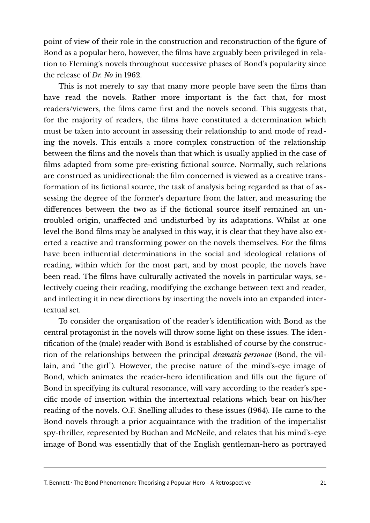point of view of their role in the construction and reconstruction of the figure of Bond as a popular hero, however, the films have arguably been privileged in relation to Fleming's novels throughout successive phases of Bond's popularity since the release of *Dr. No* in 1962.

This is not merely to say that many more people have seen the films than have read the novels. Rather more important is the fact that, for most readers/viewers, the films came first and the novels second. This suggests that, for the majority of readers, the films have constituted a determination which must be taken into account in assessing their relationship to and mode of reading the novels. This entails a more complex construction of the relationship between the films and the novels than that which is usually applied in the case of films adapted from some pre-existing fictional source. Normally, such relations are construed as unidirectional: the film concerned is viewed as a creative transformation of its fictional source, the task of analysis being regarded as that of assessing the degree of the former's departure from the latter, and measuring the differences between the two as if the fictional source itself remained an untroubled origin, unaffected and undisturbed by its adaptations. Whilst at one level the Bond films may be analysed in this way, it is clear that they have also exerted a reactive and transforming power on the novels themselves. For the films have been influential determinations in the social and ideological relations of reading, within which for the most part, and by most people, the novels have been read. The films have culturally activated the novels in particular ways, selectively cueing their reading, modifying the exchange between text and reader, and inflecting it in new directions by inserting the novels into an expanded intertextual set.

To consider the organisation of the reader's identification with Bond as the central protagonist in the novels will throw some light on these issues. The identification of the (male) reader with Bond is established of course by the construction of the relationships between the principal *dramatis personae* (Bond, the villain, and "the girl"). However, the precise nature of the mind's-eye image of Bond, which animates the reader-hero identification and fills out the figure of Bond in specifying its cultural resonance, will vary according to the reader's specific mode of insertion within the intertextual relations which bear on his/her reading of the novels. O.F. Snelling alludes to these issues (1964). He came to the Bond novels through a prior acquaintance with the tradition of the imperialist spy-thriller, represented by Buchan and McNeile, and relates that his mind's-eye image of Bond was essentially that of the English gentleman-hero as portrayed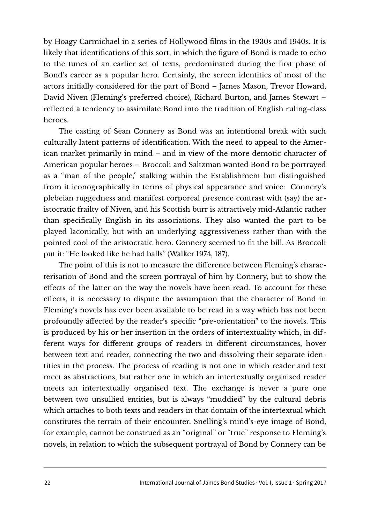by Hoagy Carmichael in a series of Hollywood films in the 1930s and 1940s. It is likely that identifications of this sort, in which the figure of Bond is made to echo to the tunes of an earlier set of texts, predominated during the first phase of Bond's career as a popular hero. Certainly, the screen identities of most of the actors initially considered for the part of Bond – James Mason, Trevor Howard, David Niven (Fleming's preferred choice), Richard Burton, and James Stewart – reflected a tendency to assimilate Bond into the tradition of English ruling-class heroes.

The casting of Sean Connery as Bond was an intentional break with such culturally latent patterns of identification. With the need to appeal to the American market primarily in mind – and in view of the more demotic character of American popular heroes – Broccoli and Saltzman wanted Bond to be portrayed as a "man of the people," stalking within the Establishment but distinguished from it iconographically in terms of physical appearance and voice: Connery's plebeian ruggedness and manifest corporeal presence contrast with (say) the aristocratic frailty of Niven, and his Scottish burr is attractively mid-Atlantic rather than specifically English in its associations. They also wanted the part to be played laconically, but with an underlying aggressiveness rather than with the pointed cool of the aristocratic hero. Connery seemed to fit the bill. As Broccoli put it: "He looked like he had balls" (Walker 1974, 187).

The point of this is not to measure the difference between Fleming's characterisation of Bond and the screen portrayal of him by Connery, but to show the effects of the latter on the way the novels have been read. To account for these effects, it is necessary to dispute the assumption that the character of Bond in Fleming's novels has ever been available to be read in a way which has not been profoundly affected by the reader's specific "pre-orientation" to the novels. This is produced by his or her insertion in the orders of intertextuality which, in different ways for different groups of readers in different circumstances, hover between text and reader, connecting the two and dissolving their separate identities in the process. The process of reading is not one in which reader and text meet as abstractions, but rather one in which an intertextually organised reader meets an intertextually organised text. The exchange is never a pure one between two unsullied entities, but is always "muddied" by the cultural debris which attaches to both texts and readers in that domain of the intertextual which constitutes the terrain of their encounter. Snelling's mind's-eye image of Bond, for example, cannot be construed as an "original" or "true" response to Fleming's novels, in relation to which the subsequent portrayal of Bond by Connery can be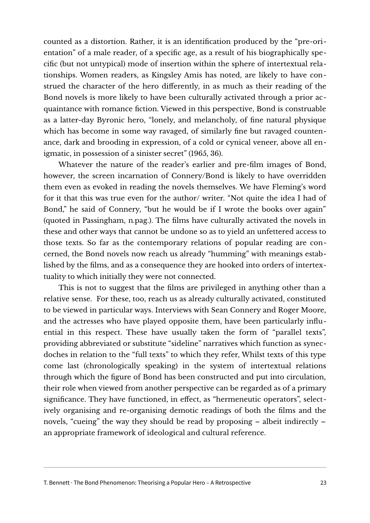counted as a distortion. Rather, it is an identification produced by the "pre-orientation" of a male reader, of a specific age, as a result of his biographically specific (but not untypical) mode of insertion within the sphere of intertextual relationships. Women readers, as Kingsley Amis has noted, are likely to have construed the character of the hero differently, in as much as their reading of the Bond novels is more likely to have been culturally activated through a prior acquaintance with romance fiction. Viewed in this perspective, Bond is construable as a latter-day Byronic hero, "lonely, and melancholy, of fine natural physique which has become in some way ravaged, of similarly fine but ravaged countenance, dark and brooding in expression, of a cold or cynical veneer, above all enigmatic, in possession of a sinister secret" (1965, 36).

Whatever the nature of the reader's earlier and pre-film images of Bond, however, the screen incarnation of Connery/Bond is likely to have overridden them even as evoked in reading the novels themselves. We have Fleming's word for it that this was true even for the author/ writer. "Not quite the idea I had of Bond," he said of Connery, "but he would be if I wrote the books over again" (quoted in Passingham, n.pag.). The films have culturally activated the novels in these and other ways that cannot be undone so as to yield an unfettered access to those texts. So far as the contemporary relations of popular reading are concerned, the Bond novels now reach us already "humming" with meanings established by the films, and as a consequence they are hooked into orders of intertextuality to which initially they were not connected.

This is not to suggest that the films are privileged in anything other than a relative sense. For these, too, reach us as already culturally activated, constituted to be viewed in particular ways. Interviews with Sean Connery and Roger Moore, and the actresses who have played opposite them, have been particularly influential in this respect. These have usually taken the form of "parallel texts", providing abbreviated or substitute "sideline" narratives which function as synecdoches in relation to the "full texts" to which they refer, Whilst texts of this type come last (chronologically speaking) in the system of intertextual relations through which the figure of Bond has been constructed and put into circulation, their role when viewed from another perspective can be regarded as of a primary significance. They have functioned, in effect, as "hermeneutic operators", selectively organising and re-organising demotic readings of both the films and the novels, "cueing" the way they should be read by proposing – albeit indirectly – an appropriate framework of ideological and cultural reference.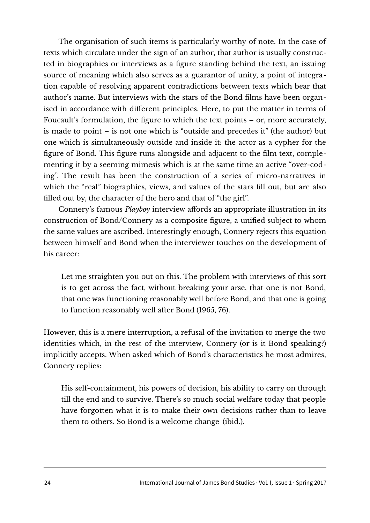The organisation of such items is particularly worthy of note. In the case of texts which circulate under the sign of an author, that author is usually constructed in biographies or interviews as a figure standing behind the text, an issuing source of meaning which also serves as a guarantor of unity, a point of integration capable of resolving apparent contradictions between texts which bear that author's name. But interviews with the stars of the Bond films have been organised in accordance with different principles. Here, to put the matter in terms of Foucault's formulation, the figure to which the text points – or, more accurately, is made to point – is not one which is "outside and precedes it" (the author) but one which is simultaneously outside and inside it: the actor as a cypher for the figure of Bond. This figure runs alongside and adjacent to the film text, complementing it by a seeming mimesis which is at the same time an active "over-coding". The result has been the construction of a series of micro-narratives in which the "real" biographies, views, and values of the stars fill out, but are also filled out by, the character of the hero and that of "the girl".

Connery's famous *Playboy* interview affords an appropriate illustration in its construction of Bond/Connery as a composite figure, a unified subject to whom the same values are ascribed. Interestingly enough, Connery rejects this equation between himself and Bond when the interviewer touches on the development of his career:

Let me straighten you out on this. The problem with interviews of this sort is to get across the fact, without breaking your arse, that one is not Bond, that one was functioning reasonably well before Bond, and that one is going to function reasonably well after Bond (1965, 76).

However, this is a mere interruption, a refusal of the invitation to merge the two identities which, in the rest of the interview, Connery (or is it Bond speaking?) implicitly accepts. When asked which of Bond's characteristics he most admires, Connery replies:

His self-containment, his powers of decision, his ability to carry on through till the end and to survive. There's so much social welfare today that people have forgotten what it is to make their own decisions rather than to leave them to others. So Bond is a welcome change (ibid.).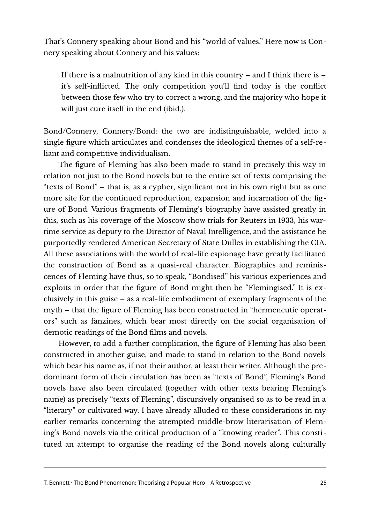That's Connery speaking about Bond and his "world of values." Here now is Connery speaking about Connery and his values:

If there is a malnutrition of any kind in this country – and I think there is – it's self-inflicted. The only competition you'll find today is the conflict between those few who try to correct a wrong, and the majority who hope it will just cure itself in the end (ibid.).

Bond/Connery, Connery/Bond: the two are indistinguishable, welded into a single figure which articulates and condenses the ideological themes of a self-reliant and competitive individualism.

The figure of Fleming has also been made to stand in precisely this way in relation not just to the Bond novels but to the entire set of texts comprising the "texts of Bond" – that is, as a cypher, significant not in his own right but as one more site for the continued reproduction, expansion and incarnation of the figure of Bond. Various fragments of Fleming's biography have assisted greatly in this, such as his coverage of the Moscow show trials for Reuters in 1933, his wartime service as deputy to the Director of Naval Intelligence, and the assistance he purportedly rendered American Secretary of State Dulles in establishing the CIA. All these associations with the world of real-life espionage have greatly facilitated the construction of Bond as a quasi-real character. Biographies and reminiscences of Fleming have thus, so to speak, "Bondised" his various experiences and exploits in order that the figure of Bond might then be "Flemingised." It is exclusively in this guise – as a real-life embodiment of exemplary fragments of the myth – that the figure of Fleming has been constructed in "hermeneutic operators" such as fanzines, which bear most directly on the social organisation of demotic readings of the Bond films and novels.

However, to add a further complication, the figure of Fleming has also been constructed in another guise, and made to stand in relation to the Bond novels which bear his name as, if not their author, at least their writer. Although the predominant form of their circulation has been as "texts of Bond", Fleming's Bond novels have also been circulated (together with other texts bearing Fleming's name) as precisely "texts of Fleming", discursively organised so as to be read in a "literary" or cultivated way. I have already alluded to these considerations in my earlier remarks concerning the attempted middle-brow literarisation of Fleming's Bond novels via the critical production of a "knowing reader". This constituted an attempt to organise the reading of the Bond novels along culturally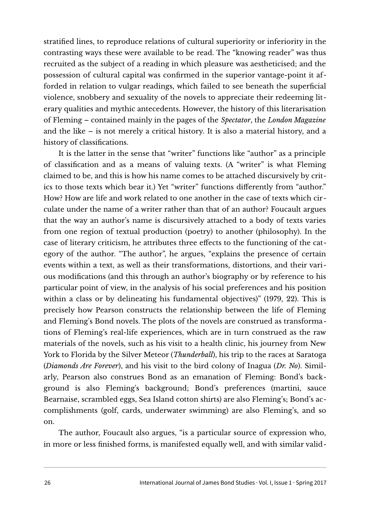stratified lines, to reproduce relations of cultural superiority or inferiority in the contrasting ways these were available to be read. The "knowing reader" was thus recruited as the subject of a reading in which pleasure was aestheticised; and the possession of cultural capital was confirmed in the superior vantage-point it afforded in relation to vulgar readings, which failed to see beneath the superficial violence, snobbery and sexuality of the novels to appreciate their redeeming literary qualities and mythic antecedents. However, the history of this literarisation of Fleming – contained mainly in the pages of the *Spectator*, the *London Magazine* and the like – is not merely a critical history. It is also a material history, and a history of classifications.

It is the latter in the sense that "writer" functions like "author" as a principle of classification and as a means of valuing texts. (A "writer" is what Fleming claimed to be, and this is how his name comes to be attached discursively by critics to those texts which bear it.) Yet "writer" functions differently from "author." How? How are life and work related to one another in the case of texts which circulate under the name of a writer rather than that of an author? Foucault argues that the way an author's name is discursively attached to a body of texts varies from one region of textual production (poetry) to another (philosophy). In the case of literary criticism, he attributes three effects to the functioning of the category of the author. "The author", he argues, "explains the presence of certain events within a text, as well as their transformations, distortions, and their various modifications (and this through an author's biography or by reference to his particular point of view, in the analysis of his social preferences and his position within a class or by delineating his fundamental objectives)" (1979, 22). This is precisely how Pearson constructs the relationship between the life of Fleming and Fleming's Bond novels. The plots of the novels are construed as transformations of Fleming's real-life experiences, which are in turn construed as the raw materials of the novels, such as his visit to a health clinic, his journey from New York to Florida by the Silver Meteor (*Thunderball*), his trip to the races at Saratoga (*Diamonds Are Forever*), and his visit to the bird colony of Inagua (*Dr. No*). Similarly, Pearson also construes Bond as an emanation of Fleming: Bond's background is also Fleming's background; Bond's preferences (martini, sauce Bearnaise, scrambled eggs, Sea Island cotton shirts) are also Fleming's; Bond's accomplishments (golf, cards, underwater swimming) are also Fleming's, and so on.

The author, Foucault also argues, "is a particular source of expression who, in more or less finished forms, is manifested equally well, and with similar valid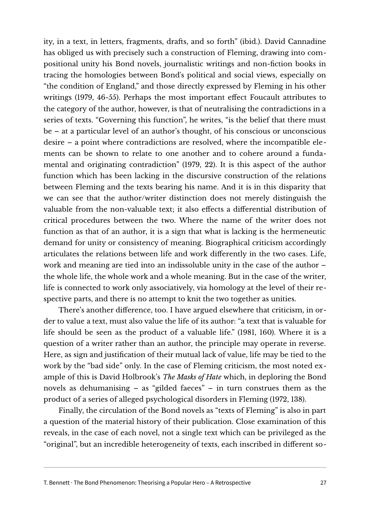ity, in a text, in letters, fragments, drafts, and so forth" (ibid.). David Cannadine has obliged us with precisely such a construction of Fleming, drawing into compositional unity his Bond novels, journalistic writings and non-fiction books in tracing the homologies between Bond's political and social views, especially on "the condition of England," and those directly expressed by Fleming in his other writings (1979, 46-55). Perhaps the most important effect Foucault attributes to the category of the author, however, is that of neutralising the contradictions in a series of texts. "Governing this function", he writes, "is the belief that there must be – at a particular level of an author's thought, of his conscious or unconscious desire – a point where contradictions are resolved, where the incompatible elements can be shown to relate to one another and to cohere around a fundamental and originating contradiction" (1979, 22). It is this aspect of the author function which has been lacking in the discursive construction of the relations between Fleming and the texts bearing his name. And it is in this disparity that we can see that the author/writer distinction does not merely distinguish the valuable from the non-valuable text; it also effects a differential distribution of critical procedures between the two. Where the name of the writer does not function as that of an author, it is a sign that what is lacking is the hermeneutic demand for unity or consistency of meaning. Biographical criticism accordingly articulates the relations between life and work differently in the two cases. Life, work and meaning are tied into an indissoluble unity in the case of the author – the whole life, the whole work and a whole meaning. But in the case of the writer, life is connected to work only associatively, via homology at the level of their respective parts, and there is no attempt to knit the two together as unities.

There's another difference, too. I have argued elsewhere that criticism, in order to value a text, must also value the life of its author: "a text that is valuable for life should be seen as the product of a valuable life." (1981, 160). Where it is a question of a writer rather than an author, the principle may operate in reverse. Here, as sign and justification of their mutual lack of value, life may be tied to the work by the "bad side" only. In the case of Fleming criticism, the most noted example of this is David Holbrook's *The Masks of Hate* which, in deploring the Bond novels as dehumanising – as "gilded faeces" – in turn construes them as the product of a series of alleged psychological disorders in Fleming (1972, 138).

Finally, the circulation of the Bond novels as "texts of Fleming" is also in part a question of the material history of their publication. Close examination of this reveals, in the case of each novel, not a single text which can be privileged as the "original", but an incredible heterogeneity of texts, each inscribed in different so-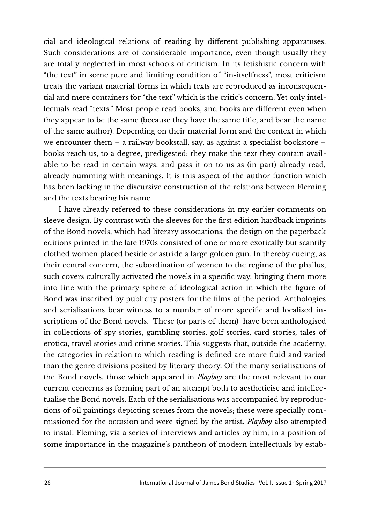cial and ideological relations of reading by different publishing apparatuses. Such considerations are of considerable importance, even though usually they are totally neglected in most schools of criticism. In its fetishistic concern with "the text" in some pure and limiting condition of "in-itselfness", most criticism treats the variant material forms in which texts are reproduced as inconsequential and mere containers for "the text" which is the critic's concern. Yet only intellectuals read "texts." Most people read books, and books are different even when they appear to be the same (because they have the same title, and bear the name of the same author). Depending on their material form and the context in which we encounter them – a railway bookstall, say, as against a specialist bookstore – books reach us, to a degree, predigested: they make the text they contain available to be read in certain ways, and pass it on to us as (in part) already read, already humming with meanings. It is this aspect of the author function which has been lacking in the discursive construction of the relations between Fleming and the texts bearing his name.

I have already referred to these considerations in my earlier comments on sleeve design. By contrast with the sleeves for the first edition hardback imprints of the Bond novels, which had literary associations, the design on the paperback editions printed in the late 1970s consisted of one or more exotically but scantily clothed women placed beside or astride a large golden gun. In thereby cueing, as their central concern, the subordination of women to the regime of the phallus, such covers culturally activated the novels in a specific way, bringing them more into line with the primary sphere of ideological action in which the figure of Bond was inscribed by publicity posters for the films of the period. Anthologies and serialisations bear witness to a number of more specific and localised inscriptions of the Bond novels. These (or parts of them) have been anthologised in collections of spy stories, gambling stories, golf stories, card stories, tales of erotica, travel stories and crime stories. This suggests that, outside the academy, the categories in relation to which reading is defined are more fluid and varied than the genre divisions posited by literary theory. Of the many serialisations of the Bond novels, those which appeared in *Playboy* are the most relevant to our current concerns as forming part of an attempt both to aestheticise and intellectualise the Bond novels. Each of the serialisations was accompanied by reproductions of oil paintings depicting scenes from the novels; these were specially commissioned for the occasion and were signed by the artist. *Playboy* also attempted to install Fleming, via a series of interviews and articles by him, in a position of some importance in the magazine's pantheon of modern intellectuals by estab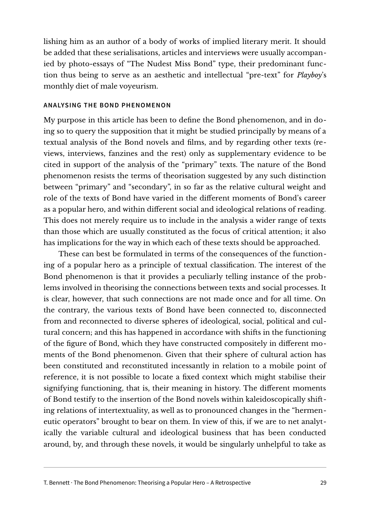lishing him as an author of a body of works of implied literary merit. It should be added that these serialisations, articles and interviews were usually accompanied by photo-essays of "The Nudest Miss Bond" type, their predominant function thus being to serve as an aesthetic and intellectual "pre-text" for *Playboy*'s monthly diet of male voyeurism.

### **ANALYSING THE BOND PHENOMENON**

My purpose in this article has been to define the Bond phenomenon, and in doing so to query the supposition that it might be studied principally by means of a textual analysis of the Bond novels and films, and by regarding other texts (reviews, interviews, fanzines and the rest) only as supplementary evidence to be cited in support of the analysis of the "primary" texts. The nature of the Bond phenomenon resists the terms of theorisation suggested by any such distinction between "primary" and "secondary", in so far as the relative cultural weight and role of the texts of Bond have varied in the different moments of Bond's career as a popular hero, and within different social and ideological relations of reading. This does not merely require us to include in the analysis a wider range of texts than those which are usually constituted as the focus of critical attention; it also has implications for the way in which each of these texts should be approached.

These can best be formulated in terms of the consequences of the functioning of a popular hero as a principle of textual classification. The interest of the Bond phenomenon is that it provides a peculiarly telling instance of the problems involved in theorising the connections between texts and social processes. It is clear, however, that such connections are not made once and for all time. On the contrary, the various texts of Bond have been connected to, disconnected from and reconnected to diverse spheres of ideological, social, political and cultural concern; and this has happened in accordance with shifts in the functioning of the figure of Bond, which they have constructed compositely in different moments of the Bond phenomenon. Given that their sphere of cultural action has been constituted and reconstituted incessantly in relation to a mobile point of reference, it is not possible to locate a fixed context which might stabilise their signifying functioning, that is, their meaning in history. The different moments of Bond testify to the insertion of the Bond novels within kaleidoscopically shifting relations of intertextuality, as well as to pronounced changes in the "hermeneutic operators" brought to bear on them. In view of this, if we are to net analytically the variable cultural and ideological business that has been conducted around, by, and through these novels, it would be singularly unhelpful to take as

T. Bennett · The Bond Phenomenon: Theorising a Popular Hero – A Retrospective 29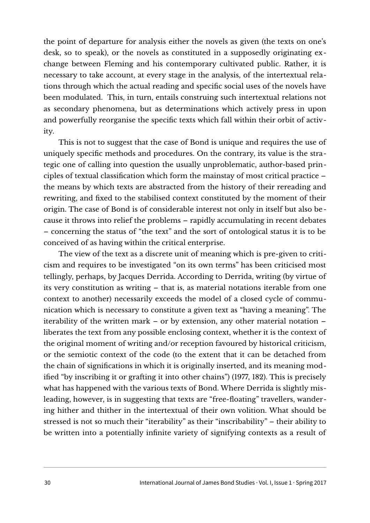the point of departure for analysis either the novels as given (the texts on one's desk, so to speak), or the novels as constituted in a supposedly originating exchange between Fleming and his contemporary cultivated public. Rather, it is necessary to take account, at every stage in the analysis, of the intertextual relations through which the actual reading and specific social uses of the novels have been modulated. This, in turn, entails construing such intertextual relations not as secondary phenomena, but as determinations which actively press in upon and powerfully reorganise the specific texts which fall within their orbit of activity.

This is not to suggest that the case of Bond is unique and requires the use of uniquely specific methods and procedures. On the contrary, its value is the strategic one of calling into question the usually unproblematic, author-based principles of textual classification which form the mainstay of most critical practice – the means by which texts are abstracted from the history of their rereading and rewriting, and fixed to the stabilised context constituted by the moment of their origin. The case of Bond is of considerable interest not only in itself but also because it throws into relief the problems – rapidly accumulating in recent debates – concerning the status of "the text" and the sort of ontological status it is to be conceived of as having within the critical enterprise.

The view of the text as a discrete unit of meaning which is pre-given to criticism and requires to be investigated "on its own terms" has been criticised most tellingly, perhaps, by Jacques Derrida. According to Derrida, writing (by virtue of its very constitution as writing – that is, as material notations iterable from one context to another) necessarily exceeds the model of a closed cycle of communication which is necessary to constitute a given text as "having a meaning". The iterability of the written mark – or by extension, any other material notation – liberates the text from any possible enclosing context, whether it is the context of the original moment of writing and/or reception favoured by historical criticism, or the semiotic context of the code (to the extent that it can be detached from the chain of significations in which it is originally inserted, and its meaning modified "by inscribing it or grafting it into other chains") (1977, 182). This is precisely what has happened with the various texts of Bond. Where Derrida is slightly misleading, however, is in suggesting that texts are "free-floating" travellers, wandering hither and thither in the intertextual of their own volition. What should be stressed is not so much their "iterability" as their "inscribability" – their ability to be written into a potentially infinite variety of signifying contexts as a result of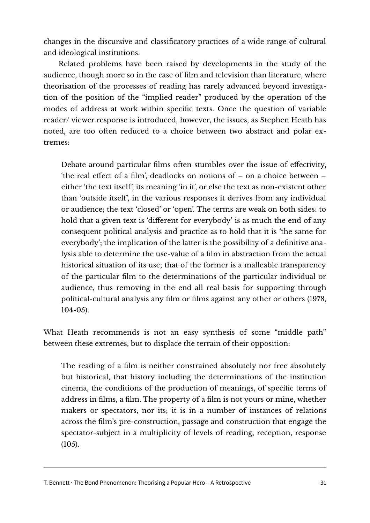changes in the discursive and classificatory practices of a wide range of cultural and ideological institutions.

Related problems have been raised by developments in the study of the audience, though more so in the case of film and television than literature, where theorisation of the processes of reading has rarely advanced beyond investigation of the position of the "implied reader" produced by the operation of the modes of address at work within specific texts. Once the question of variable reader/ viewer response is introduced, however, the issues, as Stephen Heath has noted, are too often reduced to a choice between two abstract and polar extremes:

Debate around particular films often stumbles over the issue of effectivity, 'the real effect of a film', deadlocks on notions of – on a choice between – either 'the text itself', its meaning 'in it', or else the text as non-existent other than 'outside itself', in the various responses it derives from any individual or audience; the text 'closed' or 'open'. The terms are weak on both sides: to hold that a given text is 'different for everybody' is as much the end of any consequent political analysis and practice as to hold that it is 'the same for everybody'; the implication of the latter is the possibility of a definitive analysis able to determine the use-value of a film in abstraction from the actual historical situation of its use; that of the former is a malleable transparency of the particular film to the determinations of the particular individual or audience, thus removing in the end all real basis for supporting through political-cultural analysis any film or films against any other or others (1978, 104-05).

What Heath recommends is not an easy synthesis of some "middle path" between these extremes, but to displace the terrain of their opposition:

The reading of a film is neither constrained absolutely nor free absolutely but historical, that history including the determinations of the institution cinema, the conditions of the production of meanings, of specific terms of address in films, a film. The property of a film is not yours or mine, whether makers or spectators, nor its; it is in a number of instances of relations across the film's pre-construction, passage and construction that engage the spectator-subject in a multiplicity of levels of reading, reception, response (105).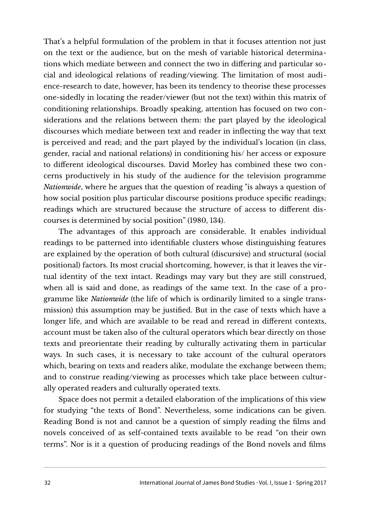That's a helpful formulation of the problem in that it focuses attention not just on the text or the audience, but on the mesh of variable historical determinations which mediate between and connect the two in differing and particular social and ideological relations of reading/viewing. The limitation of most audience-research to date, however, has been its tendency to theorise these processes one-sidedly in locating the reader/viewer (but not the text) within this matrix of conditioning relationships. Broadly speaking, attention has focused on two considerations and the relations between them: the part played by the ideological discourses which mediate between text and reader in inflecting the way that text is perceived and read; and the part played by the individual's location (in class, gender, racial and national relations) in conditioning his/ her access or exposure to different ideological discourses. David Morley has combined these two concerns productively in his study of the audience for the television programme *Nationwide*, where he argues that the question of reading "is always a question of how social position plus particular discourse positions produce specific readings; readings which are structured because the structure of access to different discourses is determined by social position" (1980, 134).

The advantages of this approach are considerable. It enables individual readings to be patterned into identifiable clusters whose distinguishing features are explained by the operation of both cultural (discursive) and structural (social positional) factors. Its most crucial shortcoming, however, is that it leaves the virtual identity of the text intact. Readings may vary but they are still construed, when all is said and done, as readings of the same text. In the case of a programme like *Nationwide* (the life of which is ordinarily limited to a single transmission) this assumption may be justified. But in the case of texts which have a longer life, and which are available to be read and reread in different contexts, account must be taken also of the cultural operators which bear directly on those texts and preorientate their reading by culturally activating them in particular ways. In such cases, it is necessary to take account of the cultural operators which, bearing on texts and readers alike, modulate the exchange between them; and to construe reading/viewing as processes which take place between culturally operated readers and culturally operated texts.

Space does not permit a detailed elaboration of the implications of this view for studying "the texts of Bond". Nevertheless, some indications can be given. Reading Bond is not and cannot be a question of simply reading the films and novels conceived of as self-contained texts available to be read "on their own terms". Nor is it a question of producing readings of the Bond novels and films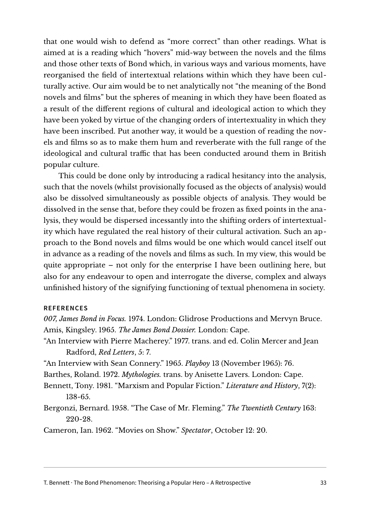that one would wish to defend as "more correct" than other readings. What is aimed at is a reading which "hovers" mid-way between the novels and the films and those other texts of Bond which, in various ways and various moments, have reorganised the field of intertextual relations within which they have been culturally active. Our aim would be to net analytically not "the meaning of the Bond novels and films" but the spheres of meaning in which they have been floated as a result of the different regions of cultural and ideological action to which they have been yoked by virtue of the changing orders of intertextuality in which they have been inscribed. Put another way, it would be a question of reading the novels and films so as to make them hum and reverberate with the full range of the ideological and cultural traffic that has been conducted around them in British popular culture.

This could be done only by introducing a radical hesitancy into the analysis, such that the novels (whilst provisionally focused as the objects of analysis) would also be dissolved simultaneously as possible objects of analysis. They would be dissolved in the sense that, before they could be frozen as fixed points in the analysis, they would be dispersed incessantly into the shifting orders of intertextuality which have regulated the real history of their cultural activation. Such an approach to the Bond novels and films would be one which would cancel itself out in advance as a reading of the novels and films as such. In my view, this would be quite appropriate – not only for the enterprise I have been outlining here, but also for any endeavour to open and interrogate the diverse, complex and always unfinished history of the signifying functioning of textual phenomena in society.

#### **REFERENCES**

*007, James Bond in Focus.* 1974. London: Glidrose Productions and Mervyn Bruce. Amis, Kingsley. 1965. *The James Bond Dossier.* London: Cape.

- "An Interview with Pierre Macherey." 1977. trans. and ed. Colin Mercer and Jean Radford, *Red Letters*, 5: 7.
- "An Interview with Sean Connery." 1965. *Playboy* 13 (November 1965): 76.

Barthes, Roland. 1972. *Mythologies.* trans. by Anisette Lavers. London: Cape.

Bennett, Tony. 1981. "Marxism and Popular Fiction." *Literature and History*, 7(2): 138-65.

Bergonzi, Bernard. 1958. "The Case of Mr. Fleming." *The Twentieth Century* 163: 220-28.

Cameron, Ian. 1962. "Movies on Show." *Spectator*, October 12: 20.